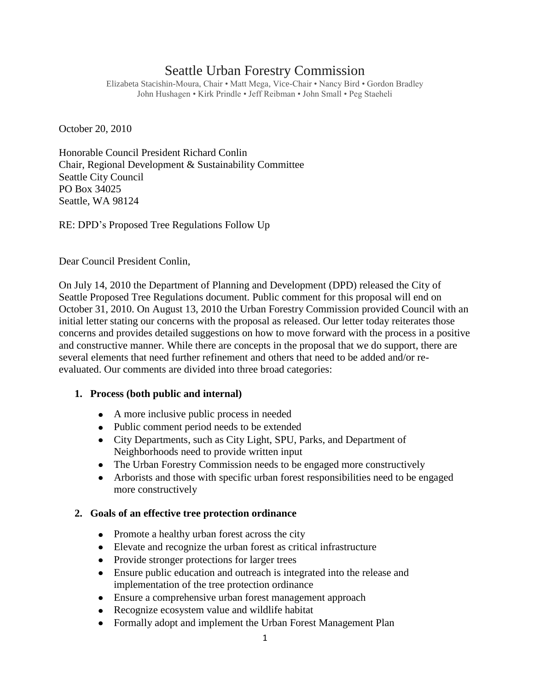# Seattle Urban Forestry Commission

Elizabeta Stacishin-Moura, Chair • Matt Mega, Vice-Chair • Nancy Bird • Gordon Bradley John Hushagen • Kirk Prindle • Jeff Reibman • John Small • Peg Staeheli

October 20, 2010

Honorable Council President Richard Conlin Chair, Regional Development & Sustainability Committee Seattle City Council PO Box 34025 Seattle, WA 98124

RE: DPD"s Proposed Tree Regulations Follow Up

Dear Council President Conlin,

On July 14, 2010 the Department of Planning and Development (DPD) released the City of Seattle Proposed Tree Regulations document. Public comment for this proposal will end on October 31, 2010. On August 13, 2010 the Urban Forestry Commission provided Council with an initial letter stating our concerns with the proposal as released. Our letter today reiterates those concerns and provides detailed suggestions on how to move forward with the process in a positive and constructive manner. While there are concepts in the proposal that we do support, there are several elements that need further refinement and others that need to be added and/or reevaluated. Our comments are divided into three broad categories:

# **1. Process (both public and internal)**

- A more inclusive public process in needed
- Public comment period needs to be extended
- City Departments, such as City Light, SPU, Parks, and Department of Neighborhoods need to provide written input
- The Urban Forestry Commission needs to be engaged more constructively
- Arborists and those with specific urban forest responsibilities need to be engaged more constructively

#### **2. Goals of an effective tree protection ordinance**

- Promote a healthy urban forest across the city
- Elevate and recognize the urban forest as critical infrastructure
- Provide stronger protections for larger trees
- Ensure public education and outreach is integrated into the release and  $\bullet$ implementation of the tree protection ordinance
- Ensure a comprehensive urban forest management approach
- Recognize ecosystem value and wildlife habitat  $\bullet$
- Formally adopt and implement the Urban Forest Management Plan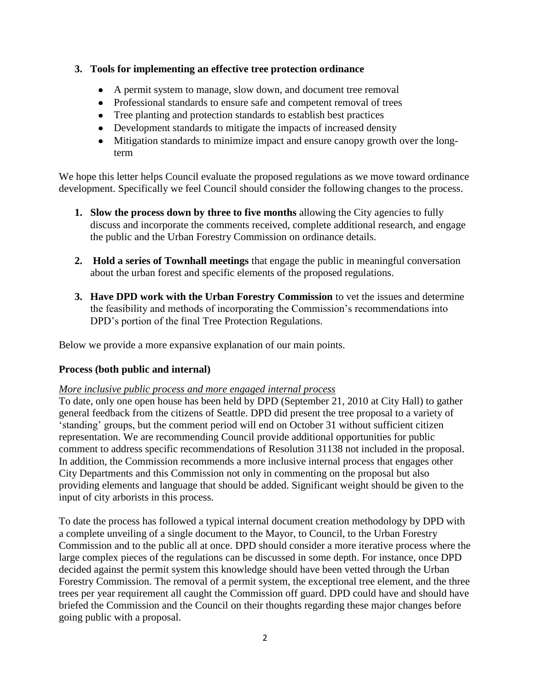### **3. Tools for implementing an effective tree protection ordinance**

- A permit system to manage, slow down, and document tree removal
- Professional standards to ensure safe and competent removal of trees
- Tree planting and protection standards to establish best practices
- Development standards to mitigate the impacts of increased density
- Mitigation standards to minimize impact and ensure canopy growth over the longterm

We hope this letter helps Council evaluate the proposed regulations as we move toward ordinance development. Specifically we feel Council should consider the following changes to the process.

- **1. Slow the process down by three to five months** allowing the City agencies to fully discuss and incorporate the comments received, complete additional research, and engage the public and the Urban Forestry Commission on ordinance details.
- **2. Hold a series of Townhall meetings** that engage the public in meaningful conversation about the urban forest and specific elements of the proposed regulations.
- **3. Have DPD work with the Urban Forestry Commission** to vet the issues and determine the feasibility and methods of incorporating the Commission"s recommendations into DPD"s portion of the final Tree Protection Regulations.

Below we provide a more expansive explanation of our main points.

# **Process (both public and internal)**

# *More inclusive public process and more engaged internal process*

To date, only one open house has been held by DPD (September 21, 2010 at City Hall) to gather general feedback from the citizens of Seattle. DPD did present the tree proposal to a variety of "standing" groups, but the comment period will end on October 31 without sufficient citizen representation. We are recommending Council provide additional opportunities for public comment to address specific recommendations of Resolution 31138 not included in the proposal. In addition, the Commission recommends a more inclusive internal process that engages other City Departments and this Commission not only in commenting on the proposal but also providing elements and language that should be added. Significant weight should be given to the input of city arborists in this process.

To date the process has followed a typical internal document creation methodology by DPD with a complete unveiling of a single document to the Mayor, to Council, to the Urban Forestry Commission and to the public all at once. DPD should consider a more iterative process where the large complex pieces of the regulations can be discussed in some depth. For instance, once DPD decided against the permit system this knowledge should have been vetted through the Urban Forestry Commission. The removal of a permit system, the exceptional tree element, and the three trees per year requirement all caught the Commission off guard. DPD could have and should have briefed the Commission and the Council on their thoughts regarding these major changes before going public with a proposal.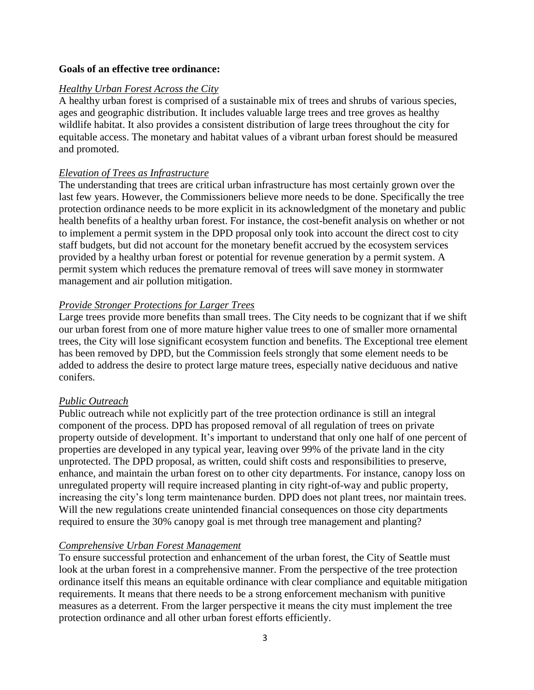#### **Goals of an effective tree ordinance:**

#### *Healthy Urban Forest Across the City*

A healthy urban forest is comprised of a sustainable mix of trees and shrubs of various species, ages and geographic distribution. It includes valuable large trees and tree groves as healthy wildlife habitat. It also provides a consistent distribution of large trees throughout the city for equitable access. The monetary and habitat values of a vibrant urban forest should be measured and promoted.

#### *Elevation of Trees as Infrastructure*

The understanding that trees are critical urban infrastructure has most certainly grown over the last few years. However, the Commissioners believe more needs to be done. Specifically the tree protection ordinance needs to be more explicit in its acknowledgment of the monetary and public health benefits of a healthy urban forest. For instance, the cost-benefit analysis on whether or not to implement a permit system in the DPD proposal only took into account the direct cost to city staff budgets, but did not account for the monetary benefit accrued by the ecosystem services provided by a healthy urban forest or potential for revenue generation by a permit system. A permit system which reduces the premature removal of trees will save money in stormwater management and air pollution mitigation.

#### *Provide Stronger Protections for Larger Trees*

Large trees provide more benefits than small trees. The City needs to be cognizant that if we shift our urban forest from one of more mature higher value trees to one of smaller more ornamental trees, the City will lose significant ecosystem function and benefits. The Exceptional tree element has been removed by DPD, but the Commission feels strongly that some element needs to be added to address the desire to protect large mature trees, especially native deciduous and native conifers.

#### *Public Outreach*

Public outreach while not explicitly part of the tree protection ordinance is still an integral component of the process. DPD has proposed removal of all regulation of trees on private property outside of development. It's important to understand that only one half of one percent of properties are developed in any typical year, leaving over 99% of the private land in the city unprotected. The DPD proposal, as written, could shift costs and responsibilities to preserve, enhance, and maintain the urban forest on to other city departments. For instance, canopy loss on unregulated property will require increased planting in city right-of-way and public property, increasing the city"s long term maintenance burden. DPD does not plant trees, nor maintain trees. Will the new regulations create unintended financial consequences on those city departments required to ensure the 30% canopy goal is met through tree management and planting?

#### *Comprehensive Urban Forest Management*

To ensure successful protection and enhancement of the urban forest, the City of Seattle must look at the urban forest in a comprehensive manner. From the perspective of the tree protection ordinance itself this means an equitable ordinance with clear compliance and equitable mitigation requirements. It means that there needs to be a strong enforcement mechanism with punitive measures as a deterrent. From the larger perspective it means the city must implement the tree protection ordinance and all other urban forest efforts efficiently.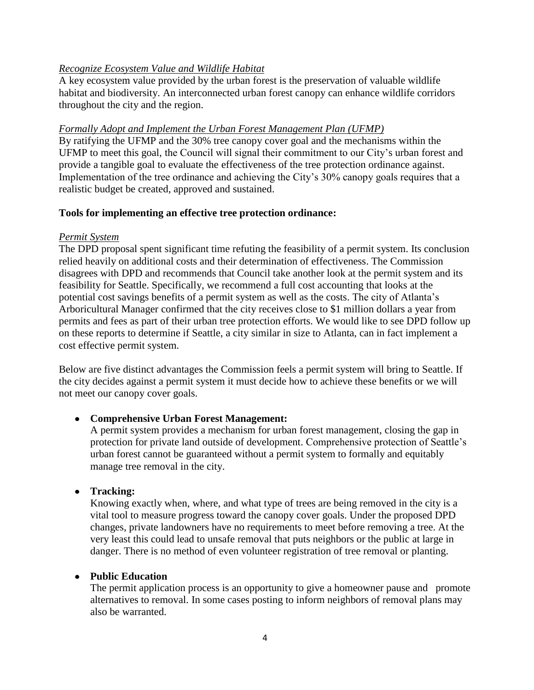# *Recognize Ecosystem Value and Wildlife Habitat*

A key ecosystem value provided by the urban forest is the preservation of valuable wildlife habitat and biodiversity. An interconnected urban forest canopy can enhance wildlife corridors throughout the city and the region.

# *Formally Adopt and Implement the Urban Forest Management Plan (UFMP)*

By ratifying the UFMP and the 30% tree canopy cover goal and the mechanisms within the UFMP to meet this goal, the Council will signal their commitment to our City"s urban forest and provide a tangible goal to evaluate the effectiveness of the tree protection ordinance against. Implementation of the tree ordinance and achieving the City"s 30% canopy goals requires that a realistic budget be created, approved and sustained.

# **Tools for implementing an effective tree protection ordinance:**

### *Permit System*

The DPD proposal spent significant time refuting the feasibility of a permit system. Its conclusion relied heavily on additional costs and their determination of effectiveness. The Commission disagrees with DPD and recommends that Council take another look at the permit system and its feasibility for Seattle. Specifically, we recommend a full cost accounting that looks at the potential cost savings benefits of a permit system as well as the costs. The city of Atlanta"s Arboricultural Manager confirmed that the city receives close to \$1 million dollars a year from permits and fees as part of their urban tree protection efforts. We would like to see DPD follow up on these reports to determine if Seattle, a city similar in size to Atlanta, can in fact implement a cost effective permit system.

Below are five distinct advantages the Commission feels a permit system will bring to Seattle. If the city decides against a permit system it must decide how to achieve these benefits or we will not meet our canopy cover goals.

# **Comprehensive Urban Forest Management:**

A permit system provides a mechanism for urban forest management, closing the gap in protection for private land outside of development. Comprehensive protection of Seattle"s urban forest cannot be guaranteed without a permit system to formally and equitably manage tree removal in the city.

# **Tracking:**

Knowing exactly when, where, and what type of trees are being removed in the city is a vital tool to measure progress toward the canopy cover goals. Under the proposed DPD changes, private landowners have no requirements to meet before removing a tree. At the very least this could lead to unsafe removal that puts neighbors or the public at large in danger. There is no method of even volunteer registration of tree removal or planting.

# **Public Education**

The permit application process is an opportunity to give a homeowner pause and promote alternatives to removal. In some cases posting to inform neighbors of removal plans may also be warranted.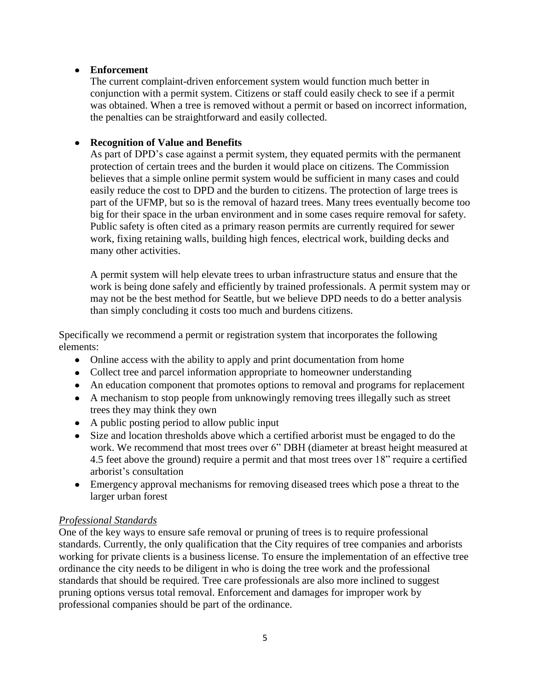# **Enforcement**

The current complaint-driven enforcement system would function much better in conjunction with a permit system. Citizens or staff could easily check to see if a permit was obtained. When a tree is removed without a permit or based on incorrect information, the penalties can be straightforward and easily collected.

#### $\bullet$ **Recognition of Value and Benefits**

As part of DPD"s case against a permit system, they equated permits with the permanent protection of certain trees and the burden it would place on citizens. The Commission believes that a simple online permit system would be sufficient in many cases and could easily reduce the cost to DPD and the burden to citizens. The protection of large trees is part of the UFMP, but so is the removal of hazard trees. Many trees eventually become too big for their space in the urban environment and in some cases require removal for safety. Public safety is often cited as a primary reason permits are currently required for sewer work, fixing retaining walls, building high fences, electrical work, building decks and many other activities.

A permit system will help elevate trees to urban infrastructure status and ensure that the work is being done safely and efficiently by trained professionals. A permit system may or may not be the best method for Seattle, but we believe DPD needs to do a better analysis than simply concluding it costs too much and burdens citizens.

Specifically we recommend a permit or registration system that incorporates the following elements:

- Online access with the ability to apply and print documentation from home
- Collect tree and parcel information appropriate to homeowner understanding
- An education component that promotes options to removal and programs for replacement
- A mechanism to stop people from unknowingly removing trees illegally such as street trees they may think they own
- A public posting period to allow public input
- $\bullet$ Size and location thresholds above which a certified arborist must be engaged to do the work. We recommend that most trees over 6" DBH (diameter at breast height measured at 4.5 feet above the ground) require a permit and that most trees over 18" require a certified arborist"s consultation
- Emergency approval mechanisms for removing diseased trees which pose a threat to the larger urban forest

# *Professional Standards*

One of the key ways to ensure safe removal or pruning of trees is to require professional standards. Currently, the only qualification that the City requires of tree companies and arborists working for private clients is a business license. To ensure the implementation of an effective tree ordinance the city needs to be diligent in who is doing the tree work and the professional standards that should be required. Tree care professionals are also more inclined to suggest pruning options versus total removal. Enforcement and damages for improper work by professional companies should be part of the ordinance.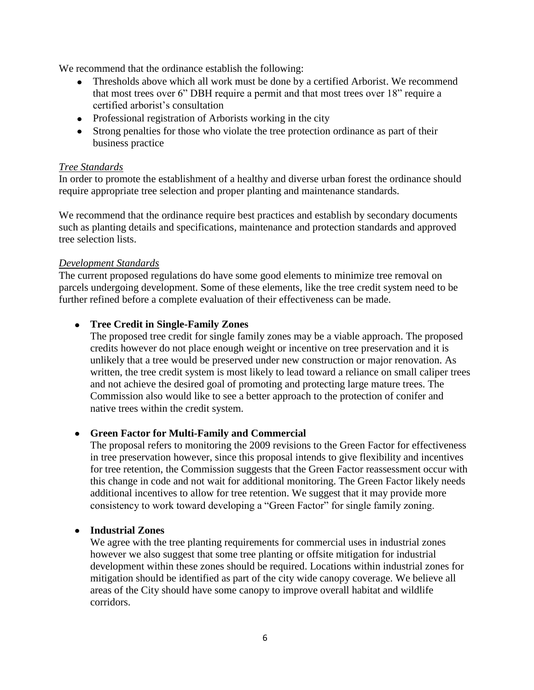We recommend that the ordinance establish the following:

- Thresholds above which all work must be done by a certified Arborist. We recommend that most trees over 6" DBH require a permit and that most trees over 18" require a certified arborist"s consultation
- Professional registration of Arborists working in the city
- Strong penalties for those who violate the tree protection ordinance as part of their business practice

#### *Tree Standards*

In order to promote the establishment of a healthy and diverse urban forest the ordinance should require appropriate tree selection and proper planting and maintenance standards.

We recommend that the ordinance require best practices and establish by secondary documents such as planting details and specifications, maintenance and protection standards and approved tree selection lists.

#### *Development Standards*

The current proposed regulations do have some good elements to minimize tree removal on parcels undergoing development. Some of these elements, like the tree credit system need to be further refined before a complete evaluation of their effectiveness can be made.

#### $\bullet$ **Tree Credit in Single-Family Zones**

The proposed tree credit for single family zones may be a viable approach. The proposed credits however do not place enough weight or incentive on tree preservation and it is unlikely that a tree would be preserved under new construction or major renovation. As written, the tree credit system is most likely to lead toward a reliance on small caliper trees and not achieve the desired goal of promoting and protecting large mature trees. The Commission also would like to see a better approach to the protection of conifer and native trees within the credit system.

# **Green Factor for Multi-Family and Commercial**

The proposal refers to monitoring the 2009 revisions to the Green Factor for effectiveness in tree preservation however, since this proposal intends to give flexibility and incentives for tree retention, the Commission suggests that the Green Factor reassessment occur with this change in code and not wait for additional monitoring. The Green Factor likely needs additional incentives to allow for tree retention. We suggest that it may provide more consistency to work toward developing a "Green Factor" for single family zoning.

#### **Industrial Zones**  $\bullet$

We agree with the tree planting requirements for commercial uses in industrial zones however we also suggest that some tree planting or offsite mitigation for industrial development within these zones should be required. Locations within industrial zones for mitigation should be identified as part of the city wide canopy coverage. We believe all areas of the City should have some canopy to improve overall habitat and wildlife corridors.